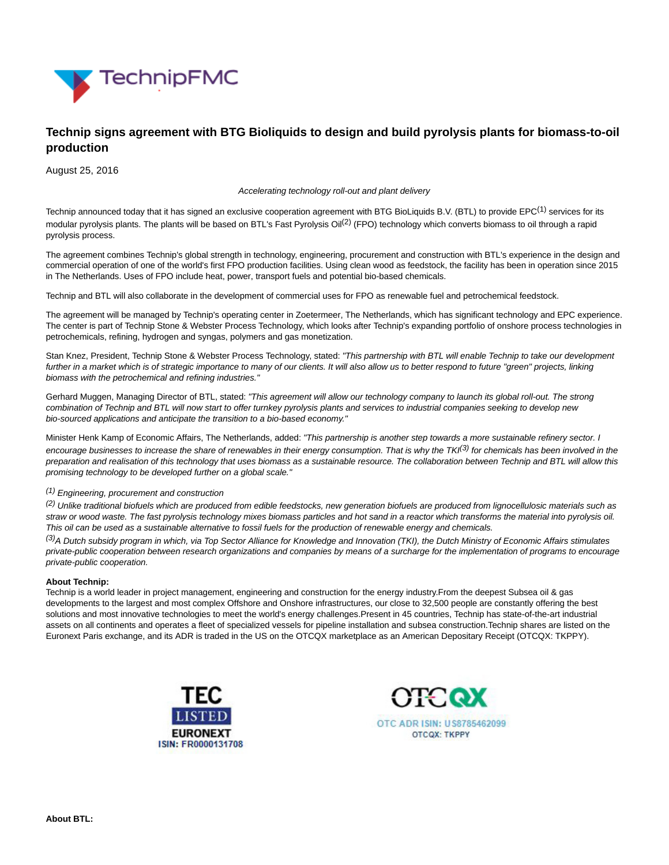

# **Technip signs agreement with BTG Bioliquids to design and build pyrolysis plants for biomass-to-oil production**

August 25, 2016

Accelerating technology roll-out and plant delivery

Technip announced today that it has signed an exclusive cooperation agreement with BTG BioLiquids B.V. (BTL) to provide  $EPC^{(1)}$  services for its modular pyrolysis plants. The plants will be based on BTL's Fast Pyrolysis Oil<sup>(2)</sup> (FPO) technology which converts biomass to oil through a rapid pyrolysis process.

The agreement combines Technip's global strength in technology, engineering, procurement and construction with BTL's experience in the design and commercial operation of one of the world's first FPO production facilities. Using clean wood as feedstock, the facility has been in operation since 2015 in The Netherlands. Uses of FPO include heat, power, transport fuels and potential bio-based chemicals.

Technip and BTL will also collaborate in the development of commercial uses for FPO as renewable fuel and petrochemical feedstock.

The agreement will be managed by Technip's operating center in Zoetermeer, The Netherlands, which has significant technology and EPC experience. The center is part of Technip Stone & Webster Process Technology, which looks after Technip's expanding portfolio of onshore process technologies in petrochemicals, refining, hydrogen and syngas, polymers and gas monetization.

Stan Knez, President, Technip Stone & Webster Process Technology, stated: "This partnership with BTL will enable Technip to take our development further in a market which is of strategic importance to many of our clients. It will also allow us to better respond to future "green" projects, linking biomass with the petrochemical and refining industries."

Gerhard Muggen, Managing Director of BTL, stated: "This agreement will allow our technology company to launch its global roll-out. The strong combination of Technip and BTL will now start to offer turnkey pyrolysis plants and services to industrial companies seeking to develop new bio-sourced applications and anticipate the transition to a bio-based economy."

Minister Henk Kamp of Economic Affairs, The Netherlands, added: "This partnership is another step towards a more sustainable refinery sector. I encourage businesses to increase the share of renewables in their energy consumption. That is why the TKI $^{(3)}$  for chemicals has been involved in the preparation and realisation of this technology that uses biomass as a sustainable resource. The collaboration between Technip and BTL will allow this promising technology to be developed further on a global scale."

# (1) Engineering, procurement and construction

<sup>(2)</sup> Unlike traditional biofuels which are produced from edible feedstocks, new generation biofuels are produced from lignocellulosic materials such as straw or wood waste. The fast pyrolysis technology mixes biomass particles and hot sand in a reactor which transforms the material into pyrolysis oil. This oil can be used as a sustainable alternative to fossil fuels for the production of renewable energy and chemicals.

(3)A Dutch subsidy program in which, via Top Sector Alliance for Knowledge and Innovation (TKI), the Dutch Ministry of Economic Affairs stimulates private-public cooperation between research organizations and companies by means of a surcharge for the implementation of programs to encourage private-public cooperation.

### **About Technip:**

Technip is a world leader in project management, engineering and construction for the energy industry.From the deepest Subsea oil & gas developments to the largest and most complex Offshore and Onshore infrastructures, our close to 32,500 people are constantly offering the best solutions and most innovative technologies to meet the world's energy challenges.Present in 45 countries, Technip has state-of-the-art industrial assets on all continents and operates a fleet of specialized vessels for pipeline installation and subsea construction.Technip shares are listed on the Euronext Paris exchange, and its ADR is traded in the US on the OTCQX marketplace as an American Depositary Receipt (OTCQX: TKPPY).